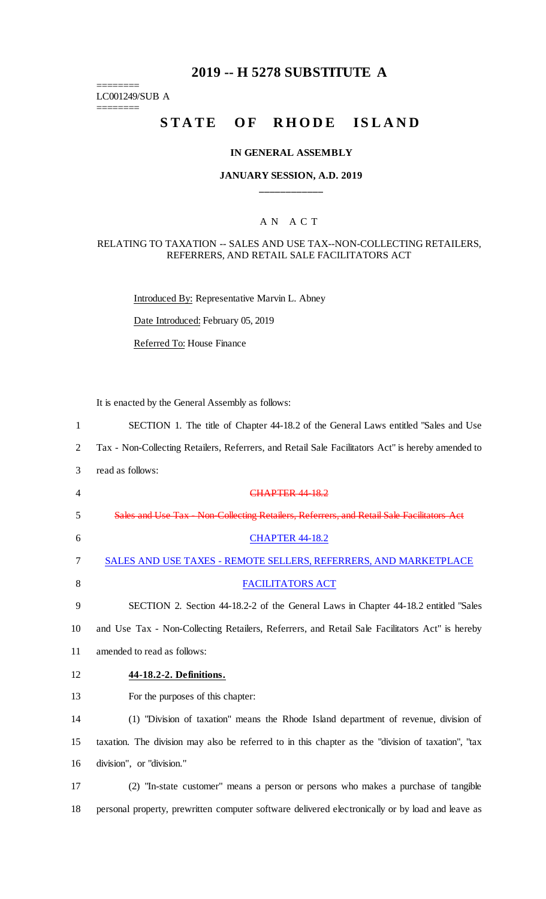# **2019 -- H 5278 SUBSTITUTE A**

LC001249/SUB A

========

 $=$ 

# STATE OF RHODE ISLAND

### **IN GENERAL ASSEMBLY**

### **JANUARY SESSION, A.D. 2019 \_\_\_\_\_\_\_\_\_\_\_\_**

## A N A C T

#### RELATING TO TAXATION -- SALES AND USE TAX--NON-COLLECTING RETAILERS, REFERRERS, AND RETAIL SALE FACILITATORS ACT

Introduced By: Representative Marvin L. Abney

Date Introduced: February 05, 2019

Referred To: House Finance

It is enacted by the General Assembly as follows:

| $\mathbf{1}$   | SECTION 1. The title of Chapter 44-18.2 of the General Laws entitled "Sales and Use"               |
|----------------|----------------------------------------------------------------------------------------------------|
| $\overline{2}$ | Tax - Non-Collecting Retailers, Referrers, and Retail Sale Facilitators Act" is hereby amended to  |
| 3              | read as follows:                                                                                   |
| 4              | <b>CHAPTER 44 18.2</b>                                                                             |
| 5              | Sales and Use Tax Non Collecting Retailers, Referrers, and Retail Sale Facilitators Act            |
| 6              | <b>CHAPTER 44-18.2</b>                                                                             |
| 7              | SALES AND USE TAXES - REMOTE SELLERS, REFERRERS, AND MARKETPLACE                                   |
| 8              | <b>FACILITATORS ACT</b>                                                                            |
| 9              | SECTION 2. Section 44-18.2-2 of the General Laws in Chapter 44-18.2 entitled "Sales"               |
| 10             | and Use Tax - Non-Collecting Retailers, Referrers, and Retail Sale Facilitators Act" is hereby     |
| 11             | amended to read as follows:                                                                        |
| 12             | 44-18.2-2. Definitions.                                                                            |
| 13             | For the purposes of this chapter:                                                                  |
| 14             | (1) "Division of taxation" means the Rhode Island department of revenue, division of               |
| 15             | taxation. The division may also be referred to in this chapter as the "division of taxation", "tax |
| 16             | division", or "division."                                                                          |
| 17             | (2) "In-state customer" means a person or persons who makes a purchase of tangible                 |
| 18             | personal property, prewritten computer software delivered electronically or by load and leave as   |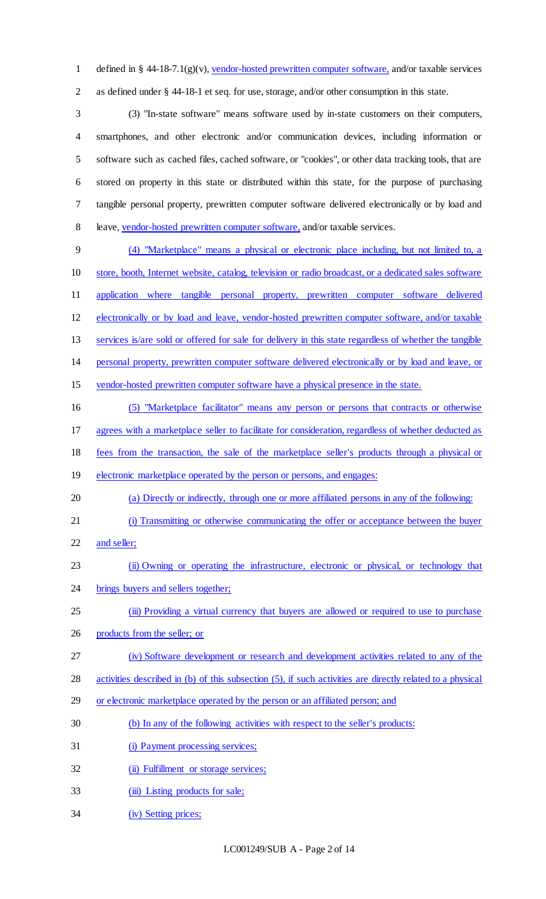defined in § 44-18-7.1(g)(v), vendor-hosted prewritten computer software, and/or taxable services as defined under § 44-18-1 et seq. for use, storage, and/or other consumption in this state.

 (3) "In-state software" means software used by in-state customers on their computers, smartphones, and other electronic and/or communication devices, including information or software such as cached files, cached software, or "cookies", or other data tracking tools, that are stored on property in this state or distributed within this state, for the purpose of purchasing tangible personal property, prewritten computer software delivered electronically or by load and leave, vendor-hosted prewritten computer software, and/or taxable services.

 (4) "Marketplace" means a physical or electronic place including, but not limited to, a store, booth, Internet website, catalog, television or radio broadcast, or a dedicated sales software application where tangible personal property, prewritten computer software delivered electronically or by load and leave, vendor-hosted prewritten computer software, and/or taxable services is/are sold or offered for sale for delivery in this state regardless of whether the tangible personal property, prewritten computer software delivered electronically or by load and leave, or vendor-hosted prewritten computer software have a physical presence in the state. (5) "Marketplace facilitator" means any person or persons that contracts or otherwise

agrees with a marketplace seller to facilitate for consideration, regardless of whether deducted as

fees from the transaction, the sale of the marketplace seller's products through a physical or

- 19 electronic marketplace operated by the person or persons, and engages:
- (a) Directly or indirectly, through one or more affiliated persons in any of the following:
- (i) Transmitting or otherwise communicating the offer or acceptance between the buyer
- 22 and seller;
- (ii) Owning or operating the infrastructure, electronic or physical, or technology that
- 24 brings buyers and sellers together;
- 25 (iii) Providing a virtual currency that buyers are allowed or required to use to purchase

products from the seller; or

- (iv) Software development or research and development activities related to any of the
- activities described in (b) of this subsection (5), if such activities are directly related to a physical
- 29 or electronic marketplace operated by the person or an affiliated person; and
- (b) In any of the following activities with respect to the seller's products:
- 31 (i) Payment processing services;
- 32 (ii) Fulfillment or storage services;
- 33 (iii) Listing products for sale;
- (iv) Setting prices;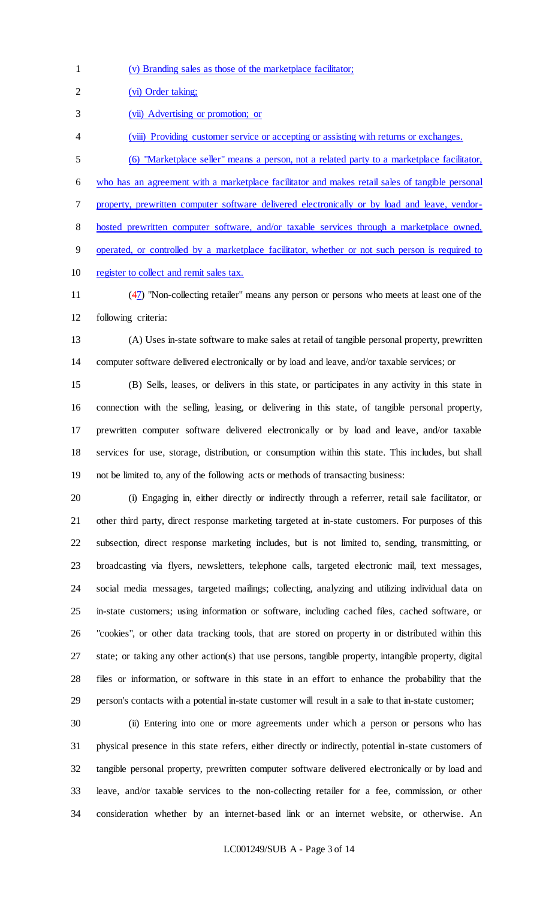(v) Branding sales as those of the marketplace facilitator;

(vi) Order taking;

(vii) Advertising or promotion; or

- (viii) Providing customer service or accepting or assisting with returns or exchanges.
- (6) "Marketplace seller" means a person, not a related party to a marketplace facilitator,

who has an agreement with a marketplace facilitator and makes retail sales of tangible personal

property, prewritten computer software delivered electronically or by load and leave, vendor-

hosted prewritten computer software, and/or taxable services through a marketplace owned,

operated, or controlled by a marketplace facilitator, whether or not such person is required to

register to collect and remit sales tax.

 (47) "Non-collecting retailer" means any person or persons who meets at least one of the following criteria:

 (A) Uses in-state software to make sales at retail of tangible personal property, prewritten computer software delivered electronically or by load and leave, and/or taxable services; or

 (B) Sells, leases, or delivers in this state, or participates in any activity in this state in connection with the selling, leasing, or delivering in this state, of tangible personal property, prewritten computer software delivered electronically or by load and leave, and/or taxable services for use, storage, distribution, or consumption within this state. This includes, but shall not be limited to, any of the following acts or methods of transacting business:

 (i) Engaging in, either directly or indirectly through a referrer, retail sale facilitator, or other third party, direct response marketing targeted at in-state customers. For purposes of this subsection, direct response marketing includes, but is not limited to, sending, transmitting, or broadcasting via flyers, newsletters, telephone calls, targeted electronic mail, text messages, social media messages, targeted mailings; collecting, analyzing and utilizing individual data on in-state customers; using information or software, including cached files, cached software, or "cookies", or other data tracking tools, that are stored on property in or distributed within this state; or taking any other action(s) that use persons, tangible property, intangible property, digital files or information, or software in this state in an effort to enhance the probability that the person's contacts with a potential in-state customer will result in a sale to that in-state customer;

 (ii) Entering into one or more agreements under which a person or persons who has physical presence in this state refers, either directly or indirectly, potential in-state customers of tangible personal property, prewritten computer software delivered electronically or by load and leave, and/or taxable services to the non-collecting retailer for a fee, commission, or other consideration whether by an internet-based link or an internet website, or otherwise. An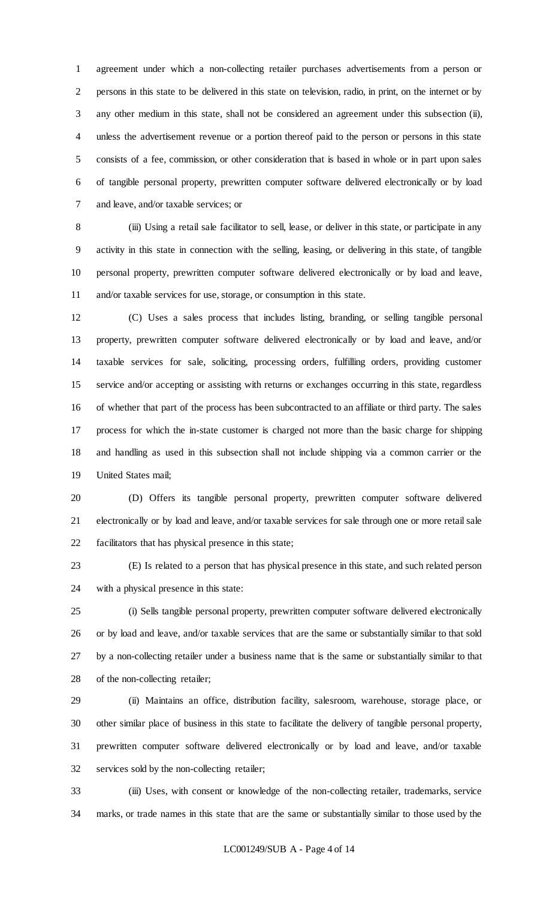agreement under which a non-collecting retailer purchases advertisements from a person or persons in this state to be delivered in this state on television, radio, in print, on the internet or by any other medium in this state, shall not be considered an agreement under this subsection (ii), unless the advertisement revenue or a portion thereof paid to the person or persons in this state consists of a fee, commission, or other consideration that is based in whole or in part upon sales of tangible personal property, prewritten computer software delivered electronically or by load and leave, and/or taxable services; or

8 (iii) Using a retail sale facilitator to sell, lease, or deliver in this state, or participate in any activity in this state in connection with the selling, leasing, or delivering in this state, of tangible personal property, prewritten computer software delivered electronically or by load and leave, and/or taxable services for use, storage, or consumption in this state.

 (C) Uses a sales process that includes listing, branding, or selling tangible personal property, prewritten computer software delivered electronically or by load and leave, and/or taxable services for sale, soliciting, processing orders, fulfilling orders, providing customer service and/or accepting or assisting with returns or exchanges occurring in this state, regardless of whether that part of the process has been subcontracted to an affiliate or third party. The sales process for which the in-state customer is charged not more than the basic charge for shipping and handling as used in this subsection shall not include shipping via a common carrier or the United States mail;

 (D) Offers its tangible personal property, prewritten computer software delivered electronically or by load and leave, and/or taxable services for sale through one or more retail sale facilitators that has physical presence in this state;

 (E) Is related to a person that has physical presence in this state, and such related person with a physical presence in this state:

 (i) Sells tangible personal property, prewritten computer software delivered electronically or by load and leave, and/or taxable services that are the same or substantially similar to that sold by a non-collecting retailer under a business name that is the same or substantially similar to that of the non-collecting retailer;

 (ii) Maintains an office, distribution facility, salesroom, warehouse, storage place, or other similar place of business in this state to facilitate the delivery of tangible personal property, prewritten computer software delivered electronically or by load and leave, and/or taxable services sold by the non-collecting retailer;

 (iii) Uses, with consent or knowledge of the non-collecting retailer, trademarks, service marks, or trade names in this state that are the same or substantially similar to those used by the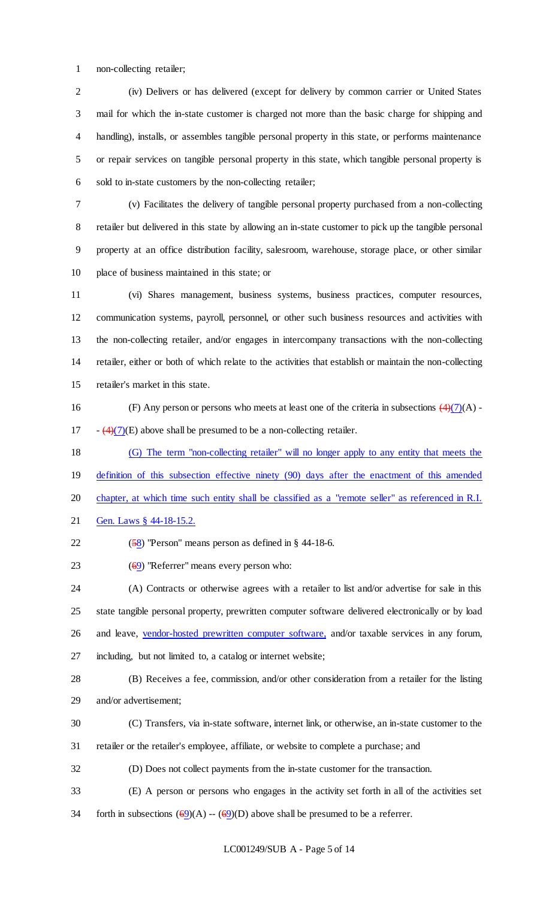non-collecting retailer;

 (iv) Delivers or has delivered (except for delivery by common carrier or United States mail for which the in-state customer is charged not more than the basic charge for shipping and handling), installs, or assembles tangible personal property in this state, or performs maintenance or repair services on tangible personal property in this state, which tangible personal property is sold to in-state customers by the non-collecting retailer;

 (v) Facilitates the delivery of tangible personal property purchased from a non-collecting retailer but delivered in this state by allowing an in-state customer to pick up the tangible personal property at an office distribution facility, salesroom, warehouse, storage place, or other similar place of business maintained in this state; or

 (vi) Shares management, business systems, business practices, computer resources, communication systems, payroll, personnel, or other such business resources and activities with the non-collecting retailer, and/or engages in intercompany transactions with the non-collecting retailer, either or both of which relate to the activities that establish or maintain the non-collecting retailer's market in this state.

16 (F) Any person or persons who meets at least one of the criteria in subsections  $\left(4\right)(7)(A)$ . 17  $(4)(7)(E)$  above shall be presumed to be a non-collecting retailer.

 (G) The term "non-collecting retailer" will no longer apply to any entity that meets the 19 definition of this subsection effective ninety (90) days after the enactment of this amended 20 chapter, at which time such entity shall be classified as a "remote seller" as referenced in R.I. 21 Gen. Laws § 44-18-15.2.

22  $(58)$  "Person" means person as defined in  $\S$  44-18-6.

23  $(69)$  "Referrer" means every person who:

 (A) Contracts or otherwise agrees with a retailer to list and/or advertise for sale in this state tangible personal property, prewritten computer software delivered electronically or by load 26 and leave, vendor-hosted prewritten computer software, and/or taxable services in any forum, including, but not limited to, a catalog or internet website;

- (B) Receives a fee, commission, and/or other consideration from a retailer for the listing and/or advertisement;
- (C) Transfers, via in-state software, internet link, or otherwise, an in-state customer to the
- retailer or the retailer's employee, affiliate, or website to complete a purchase; and
- (D) Does not collect payments from the in-state customer for the transaction.
- (E) A person or persons who engages in the activity set forth in all of the activities set
- 34 forth in subsections  $(69)(A) (69)(D)$  above shall be presumed to be a referrer.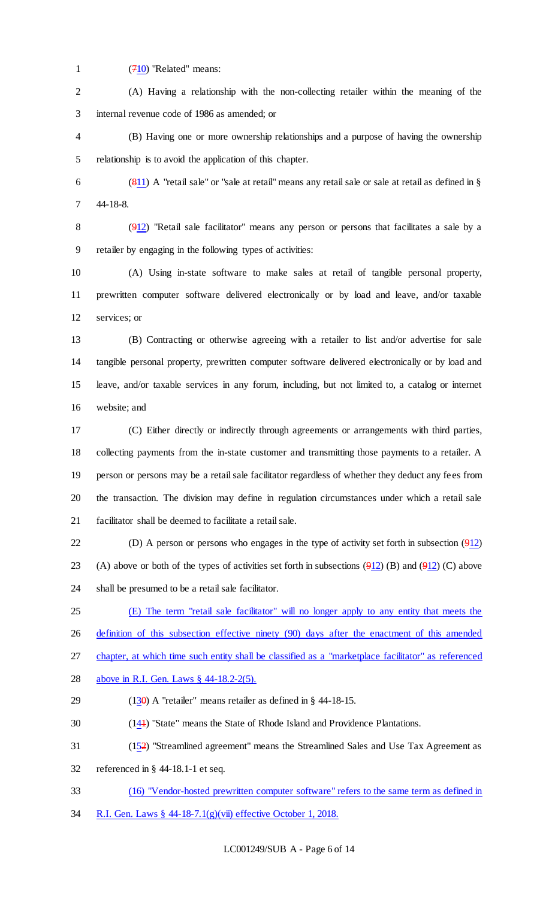(710) "Related" means:

 (A) Having a relationship with the non-collecting retailer within the meaning of the internal revenue code of 1986 as amended; or

 (B) Having one or more ownership relationships and a purpose of having the ownership relationship is to avoid the application of this chapter.

 (811) A "retail sale" or "sale at retail" means any retail sale or sale at retail as defined in § 44-18-8.

 (912) "Retail sale facilitator" means any person or persons that facilitates a sale by a retailer by engaging in the following types of activities:

 (A) Using in-state software to make sales at retail of tangible personal property, prewritten computer software delivered electronically or by load and leave, and/or taxable services; or

 (B) Contracting or otherwise agreeing with a retailer to list and/or advertise for sale tangible personal property, prewritten computer software delivered electronically or by load and leave, and/or taxable services in any forum, including, but not limited to, a catalog or internet website; and

 (C) Either directly or indirectly through agreements or arrangements with third parties, collecting payments from the in-state customer and transmitting those payments to a retailer. A person or persons may be a retail sale facilitator regardless of whether they deduct any fees from the transaction. The division may define in regulation circumstances under which a retail sale facilitator shall be deemed to facilitate a retail sale.

22 (D) A person or persons who engages in the type of activity set forth in subsection  $(912)$ 23 (A) above or both of the types of activities set forth in subsections  $(912)$  (B) and  $(912)$  (C) above shall be presumed to be a retail sale facilitator.

(E) The term "retail sale facilitator" will no longer apply to any entity that meets the

26 definition of this subsection effective ninety (90) days after the enactment of this amended

chapter, at which time such entity shall be classified as a "marketplace facilitator" as referenced

- above in R.I. Gen. Laws § 44-18.2-2(5).
- 29 (13 $\theta$ ) A "retailer" means retailer as defined in § 44-18-15.
- (141) "State" means the State of Rhode Island and Providence Plantations.
- (152) "Streamlined agreement" means the Streamlined Sales and Use Tax Agreement as
- referenced in § 44-18.1-1 et seq.
- (16) "Vendor-hosted prewritten computer software" refers to the same term as defined in
- R.I. Gen. Laws § 44-18-7.1(g)(vii) effective October 1, 2018.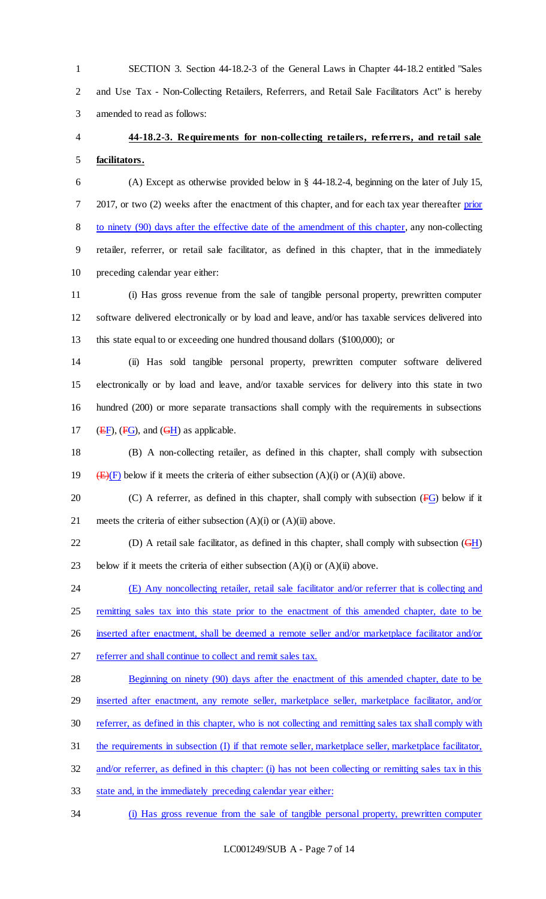1 SECTION 3. Section 44-18.2-3 of the General Laws in Chapter 44-18.2 entitled "Sales 2 and Use Tax - Non-Collecting Retailers, Referrers, and Retail Sale Facilitators Act" is hereby 3 amended to read as follows:

4 **44-18.2-3. Requirements for non-collecting retailers, referrers, and retail sale** 

5 **facilitators.**

6 (A) Except as otherwise provided below in § 44-18.2-4, beginning on the later of July 15, 7 2017, or two (2) weeks after the enactment of this chapter, and for each tax year thereafter prior 8 to ninety (90) days after the effective date of the amendment of this chapter, any non-collecting 9 retailer, referrer, or retail sale facilitator, as defined in this chapter, that in the immediately 10 preceding calendar year either:

11 (i) Has gross revenue from the sale of tangible personal property, prewritten computer 12 software delivered electronically or by load and leave, and/or has taxable services delivered into 13 this state equal to or exceeding one hundred thousand dollars (\$100,000); or

 (ii) Has sold tangible personal property, prewritten computer software delivered electronically or by load and leave, and/or taxable services for delivery into this state in two hundred (200) or more separate transactions shall comply with the requirements in subsections 17 ( $E$ F), ( $F$ G), and ( $F$ H) as applicable.

18 (B) A non-collecting retailer, as defined in this chapter, shall comply with subsection 19 (E)(F) below if it meets the criteria of either subsection (A)(i) or (A)(ii) above.

20 (C) A referrer, as defined in this chapter, shall comply with subsection  $(FG)$  below if it 21 meets the criteria of either subsection  $(A)(i)$  or  $(A)(ii)$  above.

22 (D) A retail sale facilitator, as defined in this chapter, shall comply with subsection  $(\overline{GH})$ 23 below if it meets the criteria of either subsection  $(A)(i)$  or  $(A)(ii)$  above.

24 (E) Any noncollecting retailer, retail sale facilitator and/or referrer that is collecting and 25 remitting sales tax into this state prior to the enactment of this amended chapter, date to be 26 inserted after enactment, shall be deemed a remote seller and/or marketplace facilitator and/or

27 referrer and shall continue to collect and remit sales tax.

28 Beginning on ninety (90) days after the enactment of this amended chapter, date to be 29 inserted after enactment, any remote seller, marketplace seller, marketplace facilitator, and/or 30 referrer, as defined in this chapter, who is not collecting and remitting sales tax shall comply with 31 the requirements in subsection (I) if that remote seller, marketplace seller, marketplace facilitator,

32 and/or referrer, as defined in this chapter: (i) has not been collecting or remitting sales tax in this

33 state and, in the immediately preceding calendar year either:

34 (i) Has gross revenue from the sale of tangible personal property, prewritten computer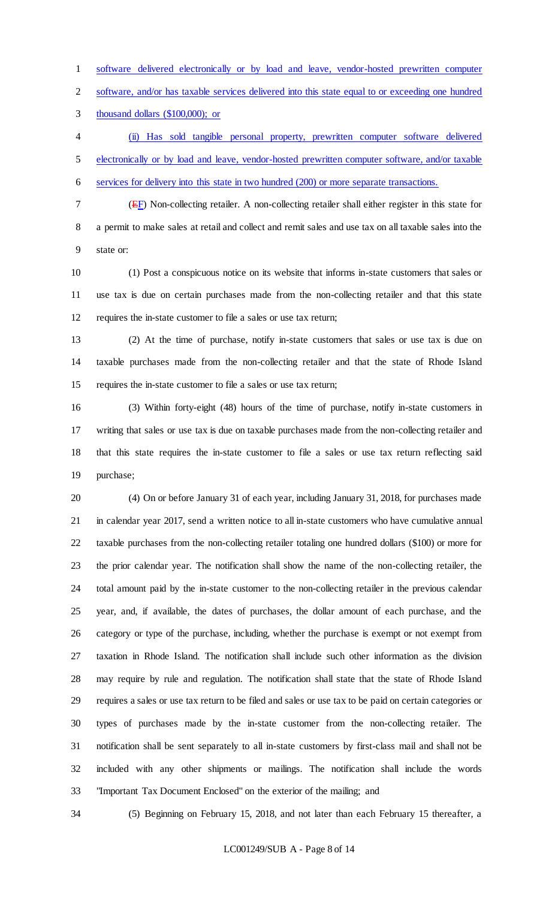software delivered electronically or by load and leave, vendor-hosted prewritten computer

software, and/or has taxable services delivered into this state equal to or exceeding one hundred

thousand dollars (\$100,000); or

 (ii) Has sold tangible personal property, prewritten computer software delivered electronically or by load and leave, vendor-hosted prewritten computer software, and/or taxable services for delivery into this state in two hundred (200) or more separate transactions.

(EF) Non-collecting retailer. A non-collecting retailer shall either register in this state for

 a permit to make sales at retail and collect and remit sales and use tax on all taxable sales into the state or:

 (1) Post a conspicuous notice on its website that informs in-state customers that sales or use tax is due on certain purchases made from the non-collecting retailer and that this state requires the in-state customer to file a sales or use tax return;

 (2) At the time of purchase, notify in-state customers that sales or use tax is due on taxable purchases made from the non-collecting retailer and that the state of Rhode Island requires the in-state customer to file a sales or use tax return;

 (3) Within forty-eight (48) hours of the time of purchase, notify in-state customers in writing that sales or use tax is due on taxable purchases made from the non-collecting retailer and that this state requires the in-state customer to file a sales or use tax return reflecting said purchase;

 (4) On or before January 31 of each year, including January 31, 2018, for purchases made in calendar year 2017, send a written notice to all in-state customers who have cumulative annual taxable purchases from the non-collecting retailer totaling one hundred dollars (\$100) or more for the prior calendar year. The notification shall show the name of the non-collecting retailer, the total amount paid by the in-state customer to the non-collecting retailer in the previous calendar year, and, if available, the dates of purchases, the dollar amount of each purchase, and the category or type of the purchase, including, whether the purchase is exempt or not exempt from taxation in Rhode Island. The notification shall include such other information as the division may require by rule and regulation. The notification shall state that the state of Rhode Island requires a sales or use tax return to be filed and sales or use tax to be paid on certain categories or types of purchases made by the in-state customer from the non-collecting retailer. The notification shall be sent separately to all in-state customers by first-class mail and shall not be included with any other shipments or mailings. The notification shall include the words "Important Tax Document Enclosed" on the exterior of the mailing; and

(5) Beginning on February 15, 2018, and not later than each February 15 thereafter, a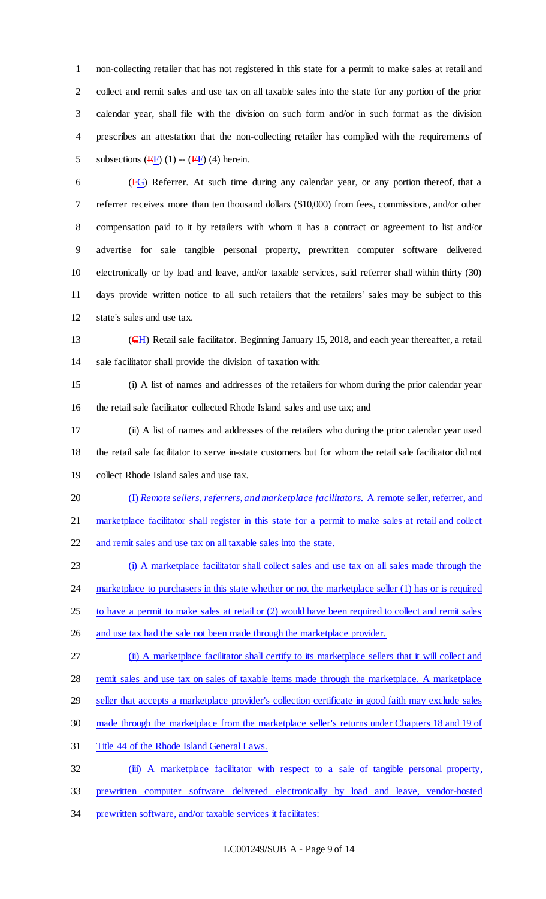non-collecting retailer that has not registered in this state for a permit to make sales at retail and collect and remit sales and use tax on all taxable sales into the state for any portion of the prior calendar year, shall file with the division on such form and/or in such format as the division prescribes an attestation that the non-collecting retailer has complied with the requirements of 5 subsections  $(EF)(1)$  --  $(EF)(4)$  herein.

 (FG) Referrer. At such time during any calendar year, or any portion thereof, that a referrer receives more than ten thousand dollars (\$10,000) from fees, commissions, and/or other compensation paid to it by retailers with whom it has a contract or agreement to list and/or advertise for sale tangible personal property, prewritten computer software delivered electronically or by load and leave, and/or taxable services, said referrer shall within thirty (30) days provide written notice to all such retailers that the retailers' sales may be subject to this state's sales and use tax.

13 (GH) Retail sale facilitator. Beginning January 15, 2018, and each year thereafter, a retail sale facilitator shall provide the division of taxation with:

 (i) A list of names and addresses of the retailers for whom during the prior calendar year the retail sale facilitator collected Rhode Island sales and use tax; and

 (ii) A list of names and addresses of the retailers who during the prior calendar year used the retail sale facilitator to serve in-state customers but for whom the retail sale facilitator did not collect Rhode Island sales and use tax.

(I) *Remote sellers, referrers, and marketplace facilitators.* A remote seller, referrer, and

marketplace facilitator shall register in this state for a permit to make sales at retail and collect

and remit sales and use tax on all taxable sales into the state.

 (i) A marketplace facilitator shall collect sales and use tax on all sales made through the 24 marketplace to purchasers in this state whether or not the marketplace seller (1) has or is required to have a permit to make sales at retail or (2) would have been required to collect and remit sales 26 and use tax had the sale not been made through the marketplace provider.

(ii) A marketplace facilitator shall certify to its marketplace sellers that it will collect and

remit sales and use tax on sales of taxable items made through the marketplace. A marketplace

29 seller that accepts a marketplace provider's collection certificate in good faith may exclude sales

made through the marketplace from the marketplace seller's returns under Chapters 18 and 19 of

Title 44 of the Rhode Island General Laws.

32 (iii) A marketplace facilitator with respect to a sale of tangible personal property,

prewritten computer software delivered electronically by load and leave, vendor-hosted

prewritten software, and/or taxable services it facilitates: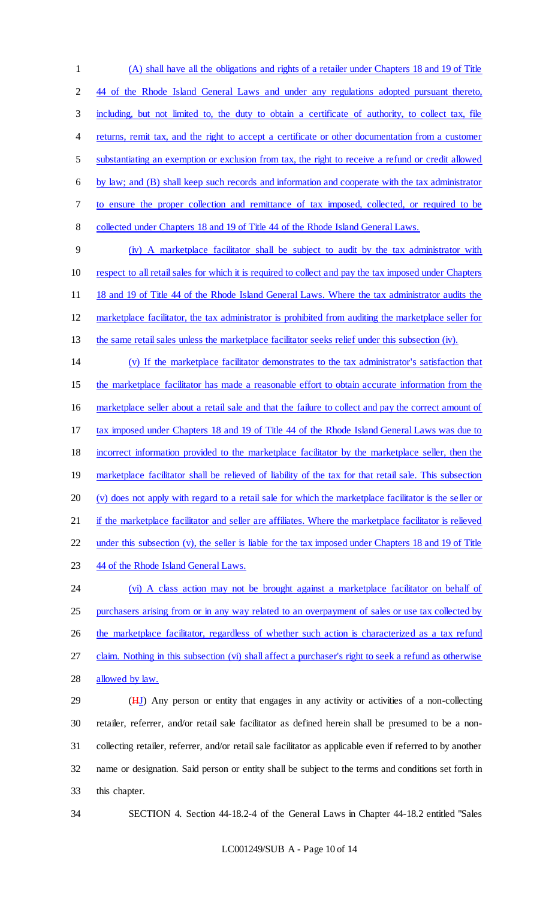(A) shall have all the obligations and rights of a retailer under Chapters 18 and 19 of Title 44 of the Rhode Island General Laws and under any regulations adopted pursuant thereto, including, but not limited to, the duty to obtain a certificate of authority, to collect tax, file 4 returns, remit tax, and the right to accept a certificate or other documentation from a customer substantiating an exemption or exclusion from tax, the right to receive a refund or credit allowed by law; and (B) shall keep such records and information and cooperate with the tax administrator to ensure the proper collection and remittance of tax imposed, collected, or required to be collected under Chapters 18 and 19 of Title 44 of the Rhode Island General Laws.

 (iv) A marketplace facilitator shall be subject to audit by the tax administrator with respect to all retail sales for which it is required to collect and pay the tax imposed under Chapters 11 18 and 19 of Title 44 of the Rhode Island General Laws. Where the tax administrator audits the marketplace facilitator, the tax administrator is prohibited from auditing the marketplace seller for the same retail sales unless the marketplace facilitator seeks relief under this subsection (iv).

 (v) If the marketplace facilitator demonstrates to the tax administrator's satisfaction that the marketplace facilitator has made a reasonable effort to obtain accurate information from the marketplace seller about a retail sale and that the failure to collect and pay the correct amount of tax imposed under Chapters 18 and 19 of Title 44 of the Rhode Island General Laws was due to incorrect information provided to the marketplace facilitator by the marketplace seller, then the 19 marketplace facilitator shall be relieved of liability of the tax for that retail sale. This subsection (v) does not apply with regard to a retail sale for which the marketplace facilitator is the seller or 21 if the marketplace facilitator and seller are affiliates. Where the marketplace facilitator is relieved under this subsection (v), the seller is liable for the tax imposed under Chapters 18 and 19 of Title 23 44 of the Rhode Island General Laws. (vi) A class action may not be brought against a marketplace facilitator on behalf of

25 purchasers arising from or in any way related to an overpayment of sales or use tax collected by 26 the marketplace facilitator, regardless of whether such action is characterized as a tax refund claim. Nothing in this subsection (vi) shall affect a purchaser's right to seek a refund as otherwise allowed by law.

29 (HJ) Any person or entity that engages in any activity or activities of a non-collecting retailer, referrer, and/or retail sale facilitator as defined herein shall be presumed to be a non- collecting retailer, referrer, and/or retail sale facilitator as applicable even if referred to by another name or designation. Said person or entity shall be subject to the terms and conditions set forth in this chapter.

SECTION 4. Section 44-18.2-4 of the General Laws in Chapter 44-18.2 entitled "Sales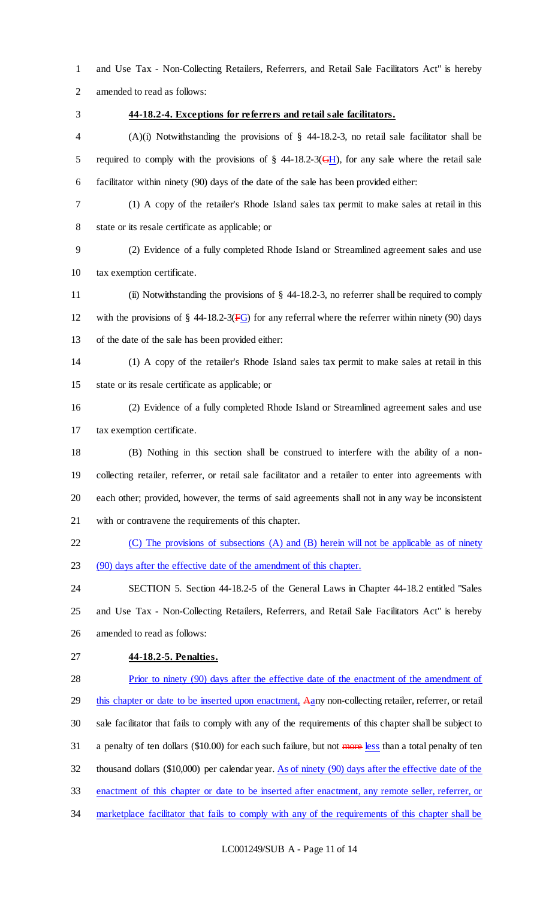and Use Tax - Non-Collecting Retailers, Referrers, and Retail Sale Facilitators Act" is hereby amended to read as follows:

#### **44-18.2-4. Exceptions for referrers and retail sale facilitators.**

 (A)(i) Notwithstanding the provisions of § 44-18.2-3, no retail sale facilitator shall be 5 required to comply with the provisions of  $\S$  44-18.2-3(GH), for any sale where the retail sale facilitator within ninety (90) days of the date of the sale has been provided either:

 (1) A copy of the retailer's Rhode Island sales tax permit to make sales at retail in this state or its resale certificate as applicable; or

 (2) Evidence of a fully completed Rhode Island or Streamlined agreement sales and use tax exemption certificate.

 (ii) Notwithstanding the provisions of § 44-18.2-3, no referrer shall be required to comply 12 with the provisions of  $\S$  44-18.2-3( $\overline{FG}$ ) for any referral where the referrer within ninety (90) days of the date of the sale has been provided either:

 (1) A copy of the retailer's Rhode Island sales tax permit to make sales at retail in this state or its resale certificate as applicable; or

 (2) Evidence of a fully completed Rhode Island or Streamlined agreement sales and use tax exemption certificate.

 (B) Nothing in this section shall be construed to interfere with the ability of a non- collecting retailer, referrer, or retail sale facilitator and a retailer to enter into agreements with each other; provided, however, the terms of said agreements shall not in any way be inconsistent with or contravene the requirements of this chapter.

 (C) The provisions of subsections (A) and (B) herein will not be applicable as of ninety (90) days after the effective date of the amendment of this chapter.

 SECTION 5. Section 44-18.2-5 of the General Laws in Chapter 44-18.2 entitled "Sales and Use Tax - Non-Collecting Retailers, Referrers, and Retail Sale Facilitators Act" is hereby amended to read as follows:

**44-18.2-5. Penalties.**

 Prior to ninety (90) days after the effective date of the enactment of the amendment of 29 this chapter or date to be inserted upon enactment, Aany non-collecting retailer, referrer, or retail sale facilitator that fails to comply with any of the requirements of this chapter shall be subject to 31 a penalty of ten dollars (\$10.00) for each such failure, but not more less than a total penalty of ten thousand dollars (\$10,000) per calendar year. As of ninety (90) days after the effective date of the enactment of this chapter or date to be inserted after enactment, any remote seller, referrer, or marketplace facilitator that fails to comply with any of the requirements of this chapter shall be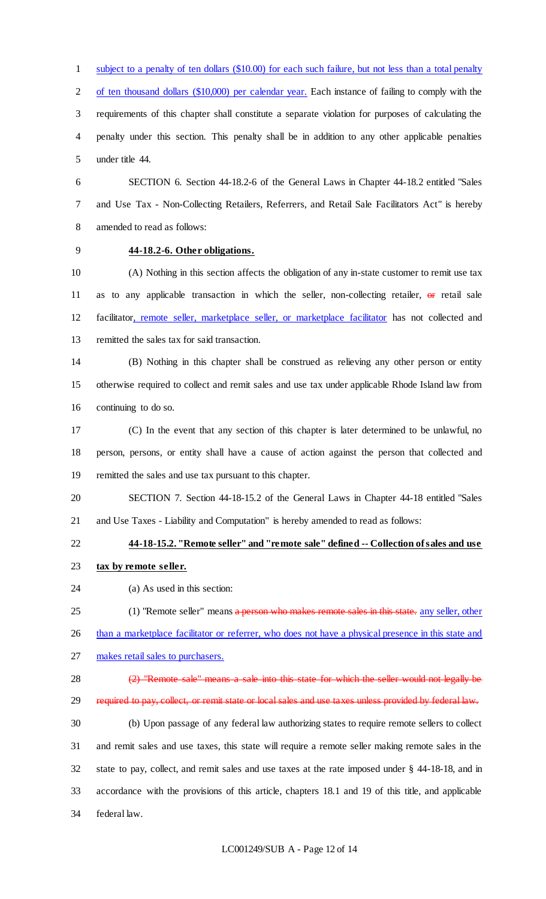subject to a penalty of ten dollars (\$10.00) for each such failure, but not less than a total penalty 2 of ten thousand dollars (\$10,000) per calendar year. Each instance of failing to comply with the requirements of this chapter shall constitute a separate violation for purposes of calculating the penalty under this section. This penalty shall be in addition to any other applicable penalties under title 44.

 SECTION 6. Section 44-18.2-6 of the General Laws in Chapter 44-18.2 entitled "Sales and Use Tax - Non-Collecting Retailers, Referrers, and Retail Sale Facilitators Act" is hereby amended to read as follows:

## **44-18.2-6. Other obligations.**

 (A) Nothing in this section affects the obligation of any in-state customer to remit use tax 11 as to any applicable transaction in which the seller, non-collecting retailer,  $\Theta$  retail sale facilitator, remote seller, marketplace seller, or marketplace facilitator has not collected and remitted the sales tax for said transaction.

 (B) Nothing in this chapter shall be construed as relieving any other person or entity otherwise required to collect and remit sales and use tax under applicable Rhode Island law from continuing to do so.

 (C) In the event that any section of this chapter is later determined to be unlawful, no person, persons, or entity shall have a cause of action against the person that collected and remitted the sales and use tax pursuant to this chapter.

 SECTION 7. Section 44-18-15.2 of the General Laws in Chapter 44-18 entitled "Sales and Use Taxes - Liability and Computation" is hereby amended to read as follows:

# **44-18-15.2. "Remote seller" and "remote sale" defined -- Collection of sales and use**

- **tax by remote seller.**
- (a) As used in this section:

25 (1) "Remote seller" means a person who makes remote sales in this state. any seller, other

26 than a marketplace facilitator or referrer, who does not have a physical presence in this state and

makes retail sales to purchasers.

28 (2) "Remote sale" means a sale into this state for which the seller would not legally be 29 required to pay, collect, or remit state or local sales and use taxes unless provided by federal law.

 (b) Upon passage of any federal law authorizing states to require remote sellers to collect and remit sales and use taxes, this state will require a remote seller making remote sales in the state to pay, collect, and remit sales and use taxes at the rate imposed under § 44-18-18, and in accordance with the provisions of this article, chapters 18.1 and 19 of this title, and applicable federal law.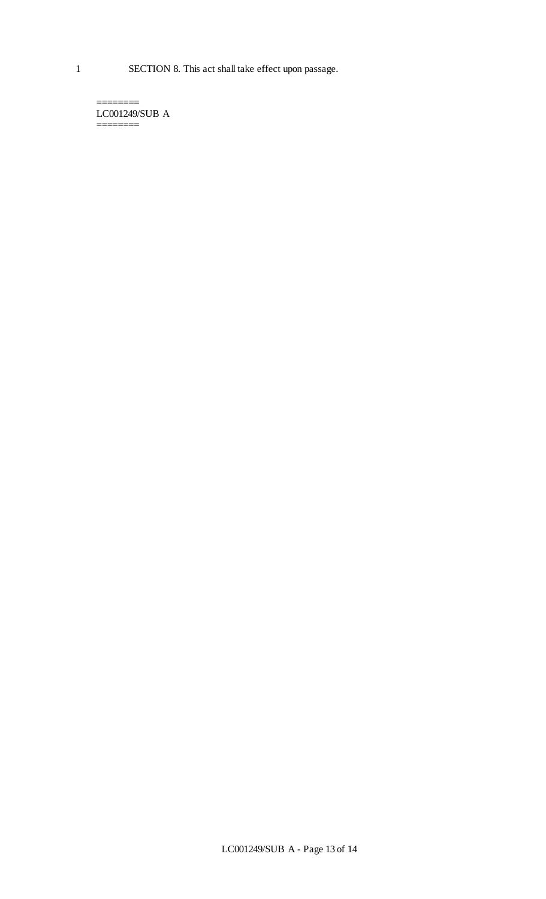LC001249/SUB A ========

========